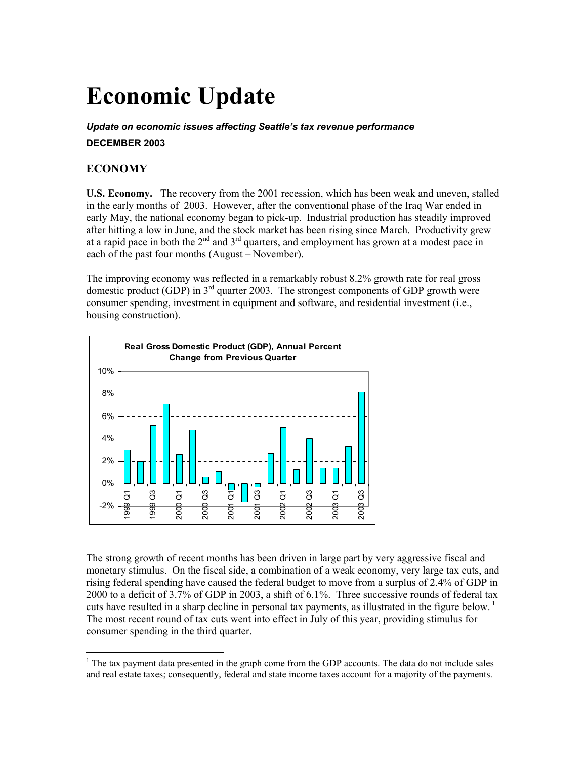## **Economic Update**

*Update on economic issues affecting Seattle's tax revenue performance* **DECEMBER 2003** 

## **ECONOMY**

**U.S. Economy.** The recovery from the 2001 recession, which has been weak and uneven, stalled in the early months of 2003. However, after the conventional phase of the Iraq War ended in early May, the national economy began to pick-up. Industrial production has steadily improved after hitting a low in June, and the stock market has been rising since March. Productivity grew at a rapid pace in both the  $2<sup>nd</sup>$  and  $3<sup>rd</sup>$  quarters, and employment has grown at a modest pace in each of the past four months (August – November).

The improving economy was reflected in a remarkably robust 8.2% growth rate for real gross domestic product (GDP) in  $3<sup>rd</sup>$  quarter 2003. The strongest components of GDP growth were consumer spending, investment in equipment and software, and residential investment (i.e., housing construction).



The strong growth of recent months has been driven in large part by very aggressive fiscal and monetary stimulus. On the fiscal side, a combination of a weak economy, very large tax cuts, and rising federal spending have caused the federal budget to move from a surplus of 2.4% of GDP in 2000 to a deficit of 3.7% of GDP in 2003, a shift of 6.1%. Three successive rounds of federal tax cuts have resulted in a sharp decline in personal tax payments, as illustrated in the figure below. The most recent round of tax cuts went into effect in July of this year, providing stimulus for consumer spending in the third quarter.

 $\overline{a}$  $1$  The tax payment data presented in the graph come from the GDP accounts. The data do not include sales and real estate taxes; consequently, federal and state income taxes account for a majority of the payments.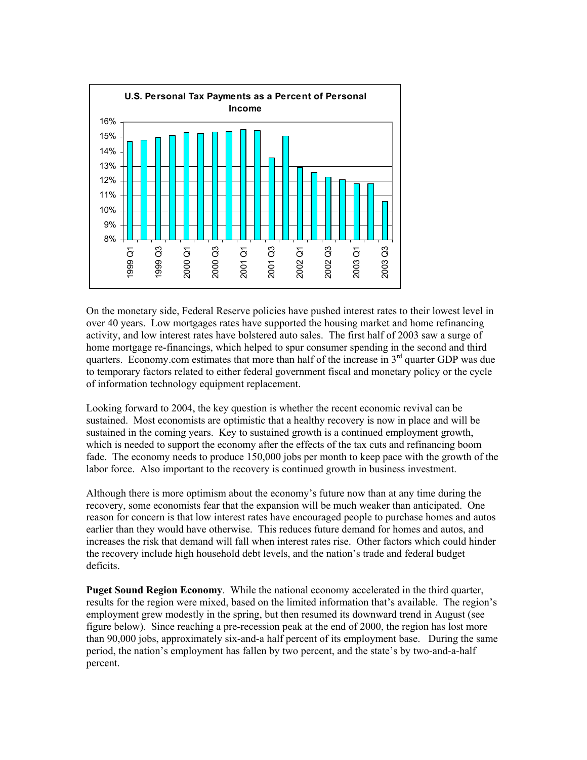

On the monetary side, Federal Reserve policies have pushed interest rates to their lowest level in over 40 years. Low mortgages rates have supported the housing market and home refinancing activity, and low interest rates have bolstered auto sales. The first half of 2003 saw a surge of home mortgage re-financings, which helped to spur consumer spending in the second and third quarters. Economy.com estimates that more than half of the increase in  $3<sup>rd</sup>$  quarter GDP was due to temporary factors related to either federal government fiscal and monetary policy or the cycle of information technology equipment replacement.

Looking forward to 2004, the key question is whether the recent economic revival can be sustained. Most economists are optimistic that a healthy recovery is now in place and will be sustained in the coming years. Key to sustained growth is a continued employment growth, which is needed to support the economy after the effects of the tax cuts and refinancing boom fade. The economy needs to produce 150,000 jobs per month to keep pace with the growth of the labor force. Also important to the recovery is continued growth in business investment.

Although there is more optimism about the economy's future now than at any time during the recovery, some economists fear that the expansion will be much weaker than anticipated. One reason for concern is that low interest rates have encouraged people to purchase homes and autos earlier than they would have otherwise. This reduces future demand for homes and autos, and increases the risk that demand will fall when interest rates rise. Other factors which could hinder the recovery include high household debt levels, and the nation's trade and federal budget deficits.

**Puget Sound Region Economy**. While the national economy accelerated in the third quarter, results for the region were mixed, based on the limited information that's available. The region's employment grew modestly in the spring, but then resumed its downward trend in August (see figure below). Since reaching a pre-recession peak at the end of 2000, the region has lost more than 90,000 jobs, approximately six-and-a half percent of its employment base. During the same period, the nation's employment has fallen by two percent, and the state's by two-and-a-half percent.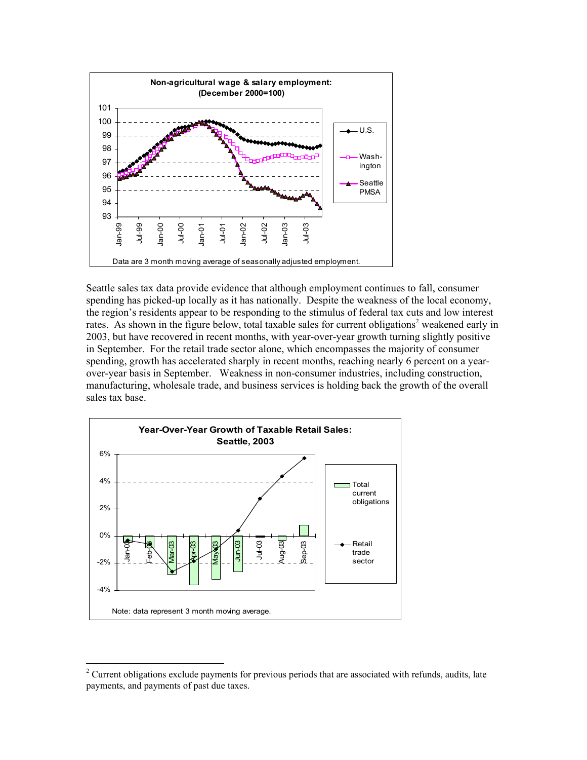

Seattle sales tax data provide evidence that although employment continues to fall, consumer spending has picked-up locally as it has nationally. Despite the weakness of the local economy, the region's residents appear to be responding to the stimulus of federal tax cuts and low interest rates. As shown in the figure below, total taxable sales for current obligations<sup>2</sup> weakened early in 2003, but have recovered in recent months, with year-over-year growth turning slightly positive in September. For the retail trade sector alone, which encompasses the majority of consumer spending, growth has accelerated sharply in recent months, reaching nearly 6 percent on a yearover-year basis in September. Weakness in non-consumer industries, including construction, manufacturing, wholesale trade, and business services is holding back the growth of the overall sales tax base.



 $\overline{a}$ 

 $2^2$  Current obligations exclude payments for previous periods that are associated with refunds, audits, late payments, and payments of past due taxes.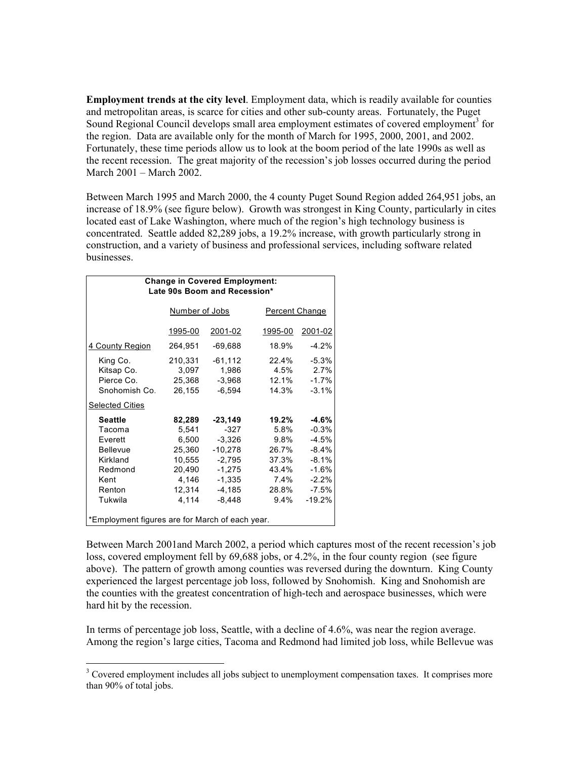**Employment trends at the city level**. Employment data, which is readily available for counties and metropolitan areas, is scarce for cities and other sub-county areas. Fortunately, the Puget Sound Regional Council develops small area employment estimates of covered employment<sup>3</sup> for the region. Data are available only for the month of March for 1995, 2000, 2001, and 2002. Fortunately, these time periods allow us to look at the boom period of the late 1990s as well as the recent recession. The great majority of the recession's job losses occurred during the period March 2001 – March 2002.

Between March 1995 and March 2000, the 4 county Puget Sound Region added 264,951 jobs, an increase of 18.9% (see figure below). Growth was strongest in King County, particularly in cites located east of Lake Washington, where much of the region's high technology business is concentrated. Seattle added 82,289 jobs, a 19.2% increase, with growth particularly strong in construction, and a variety of business and professional services, including software related businesses.

| <b>Change in Covered Employment:</b><br>Late 90s Boom and Recession*                                       |                                                                                    |                                                                                                          |                                                                                 |                                                                                                  |  |  |  |  |  |  |
|------------------------------------------------------------------------------------------------------------|------------------------------------------------------------------------------------|----------------------------------------------------------------------------------------------------------|---------------------------------------------------------------------------------|--------------------------------------------------------------------------------------------------|--|--|--|--|--|--|
|                                                                                                            | Number of Jobs                                                                     |                                                                                                          | Percent Change                                                                  |                                                                                                  |  |  |  |  |  |  |
|                                                                                                            | 1995-00                                                                            | 2001-02                                                                                                  | 1995-00                                                                         | 2001-02                                                                                          |  |  |  |  |  |  |
| 4 County Region                                                                                            | 264,951                                                                            | $-69,688$                                                                                                | 18.9%                                                                           | $-4.2%$                                                                                          |  |  |  |  |  |  |
| King Co.<br>Kitsap Co.<br>Pierce Co.<br>Snohomish Co.                                                      | 210,331<br>3,097<br>25,368<br>26,155                                               | $-61,112$<br>1,986<br>$-3,968$<br>$-6,594$                                                               | 22.4%<br>4.5%<br>12.1%<br>14.3%                                                 | $-5.3%$<br>2.7%<br>$-1.7%$<br>$-3.1%$                                                            |  |  |  |  |  |  |
| <b>Selected Cities</b>                                                                                     |                                                                                    |                                                                                                          |                                                                                 |                                                                                                  |  |  |  |  |  |  |
| <b>Seattle</b><br>Tacoma<br>Everett<br><b>Bellevue</b><br>Kirkland<br>Redmond<br>Kent<br>Renton<br>Tukwila | 82,289<br>5,541<br>6,500<br>25,360<br>10,555<br>20,490<br>4,146<br>12,314<br>4,114 | $-23,149$<br>$-327$<br>$-3,326$<br>$-10,278$<br>$-2,795$<br>$-1,275$<br>$-1,335$<br>$-4,185$<br>$-8,448$ | 19.2%<br>5.8%<br>$9.8\%$<br>26.7%<br>37.3%<br>43.4%<br>7.4%<br>28.8%<br>$9.4\%$ | $-4.6%$<br>$-0.3%$<br>$-4.5%$<br>$-8.4%$<br>$-8.1%$<br>$-1.6%$<br>$-2.2%$<br>$-7.5%$<br>$-19.2%$ |  |  |  |  |  |  |
| *Employment figures are for March of each year.                                                            |                                                                                    |                                                                                                          |                                                                                 |                                                                                                  |  |  |  |  |  |  |

Between March 2001and March 2002, a period which captures most of the recent recession's job loss, covered employment fell by 69,688 jobs, or 4.2%, in the four county region (see figure above). The pattern of growth among counties was reversed during the downturn. King County experienced the largest percentage job loss, followed by Snohomish. King and Snohomish are the counties with the greatest concentration of high-tech and aerospace businesses, which were hard hit by the recession.

In terms of percentage job loss, Seattle, with a decline of 4.6%, was near the region average. Among the region's large cities, Tacoma and Redmond had limited job loss, while Bellevue was

<sup>&</sup>lt;sup>3</sup> Covered employment includes all jobs subject to unemployment compensation taxes. It comprises more than 90% of total jobs.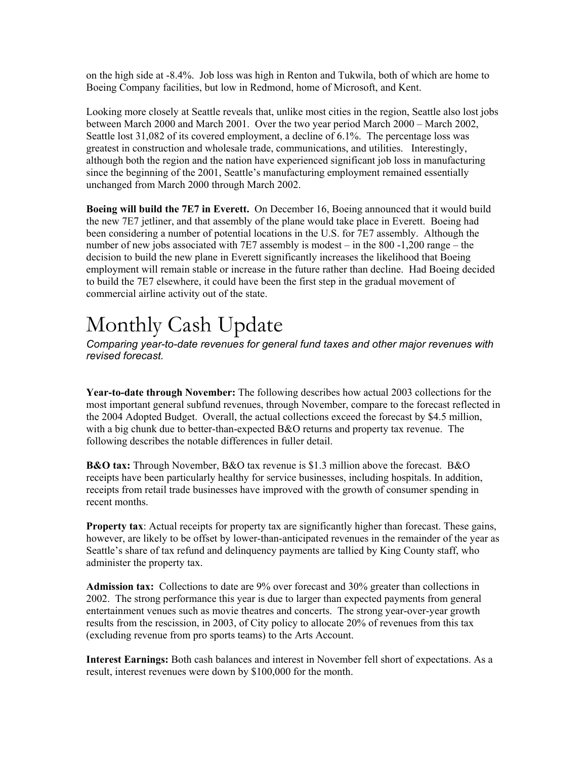on the high side at -8.4%. Job loss was high in Renton and Tukwila, both of which are home to Boeing Company facilities, but low in Redmond, home of Microsoft, and Kent.

Looking more closely at Seattle reveals that, unlike most cities in the region, Seattle also lost jobs between March 2000 and March 2001. Over the two year period March 2000 – March 2002, Seattle lost 31,082 of its covered employment, a decline of 6.1%. The percentage loss was greatest in construction and wholesale trade, communications, and utilities. Interestingly, although both the region and the nation have experienced significant job loss in manufacturing since the beginning of the 2001, Seattle's manufacturing employment remained essentially unchanged from March 2000 through March 2002.

**Boeing will build the 7E7 in Everett.** On December 16, Boeing announced that it would build the new 7E7 jetliner, and that assembly of the plane would take place in Everett. Boeing had been considering a number of potential locations in the U.S. for 7E7 assembly. Although the number of new jobs associated with 7E7 assembly is modest – in the 800 -1,200 range – the decision to build the new plane in Everett significantly increases the likelihood that Boeing employment will remain stable or increase in the future rather than decline. Had Boeing decided to build the 7E7 elsewhere, it could have been the first step in the gradual movement of commercial airline activity out of the state.

## Monthly Cash Update

*Comparing year-to-date revenues for general fund taxes and other major revenues with revised forecast.* 

**Year-to-date through November:** The following describes how actual 2003 collections for the most important general subfund revenues, through November, compare to the forecast reflected in the 2004 Adopted Budget. Overall, the actual collections exceed the forecast by \$4.5 million, with a big chunk due to better-than-expected B&O returns and property tax revenue. The following describes the notable differences in fuller detail.

**B&O tax:** Through November, B&O tax revenue is \$1.3 million above the forecast. B&O receipts have been particularly healthy for service businesses, including hospitals. In addition, receipts from retail trade businesses have improved with the growth of consumer spending in recent months.

**Property tax**: Actual receipts for property tax are significantly higher than forecast. These gains, however, are likely to be offset by lower-than-anticipated revenues in the remainder of the year as Seattle's share of tax refund and delinquency payments are tallied by King County staff, who administer the property tax.

**Admission tax:** Collections to date are 9% over forecast and 30% greater than collections in 2002. The strong performance this year is due to larger than expected payments from general entertainment venues such as movie theatres and concerts. The strong year-over-year growth results from the rescission, in 2003, of City policy to allocate 20% of revenues from this tax (excluding revenue from pro sports teams) to the Arts Account.

**Interest Earnings:** Both cash balances and interest in November fell short of expectations. As a result, interest revenues were down by \$100,000 for the month.